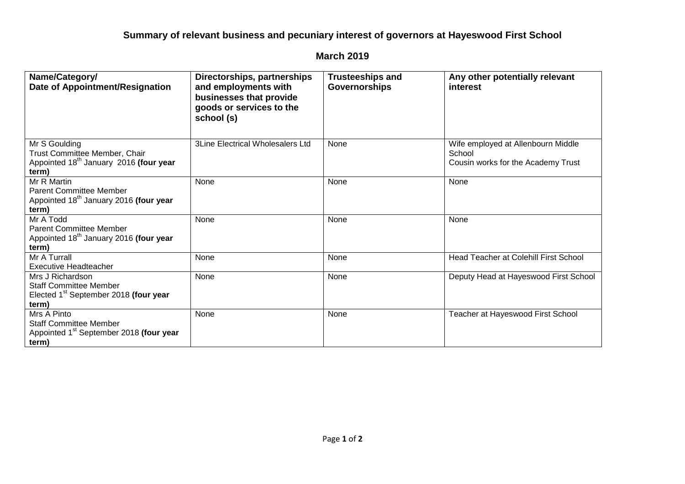## **Summary of relevant business and pecuniary interest of governors at Hayeswood First School**

## **March 2019**

| Name/Category/<br>Date of Appointment/Resignation                                                               | Directorships, partnerships<br>and employments with<br>businesses that provide<br>goods or services to the<br>school (s) | <b>Trusteeships and</b><br><b>Governorships</b> | Any other potentially relevant<br>interest                                         |
|-----------------------------------------------------------------------------------------------------------------|--------------------------------------------------------------------------------------------------------------------------|-------------------------------------------------|------------------------------------------------------------------------------------|
| Mr S Goulding<br>Trust Committee Member, Chair<br>Appointed 18 <sup>th</sup> January 2016 (four year<br>term)   | <b>3Line Electrical Wholesalers Ltd</b>                                                                                  | None                                            | Wife employed at Allenbourn Middle<br>School<br>Cousin works for the Academy Trust |
| Mr R Martin<br><b>Parent Committee Member</b><br>Appointed 18 <sup>th</sup> January 2016 (four year<br>term)    | None                                                                                                                     | None                                            | None                                                                               |
| Mr A Todd<br><b>Parent Committee Member</b><br>Appointed 18 <sup>th</sup> January 2016 (four year<br>term)      | None                                                                                                                     | None                                            | None                                                                               |
| Mr A Turrall<br><b>Executive Headteacher</b>                                                                    | None                                                                                                                     | None                                            | <b>Head Teacher at Colehill First School</b>                                       |
| Mrs J Richardson<br><b>Staff Committee Member</b><br>Elected 1 <sup>st</sup> September 2018 (four year<br>term) | None                                                                                                                     | None                                            | Deputy Head at Hayeswood First School                                              |
| Mrs A Pinto<br><b>Staff Committee Member</b><br>Appointed 1 <sup>st</sup> September 2018 (four year<br>term)    | None                                                                                                                     | None                                            | Teacher at Hayeswood First School                                                  |